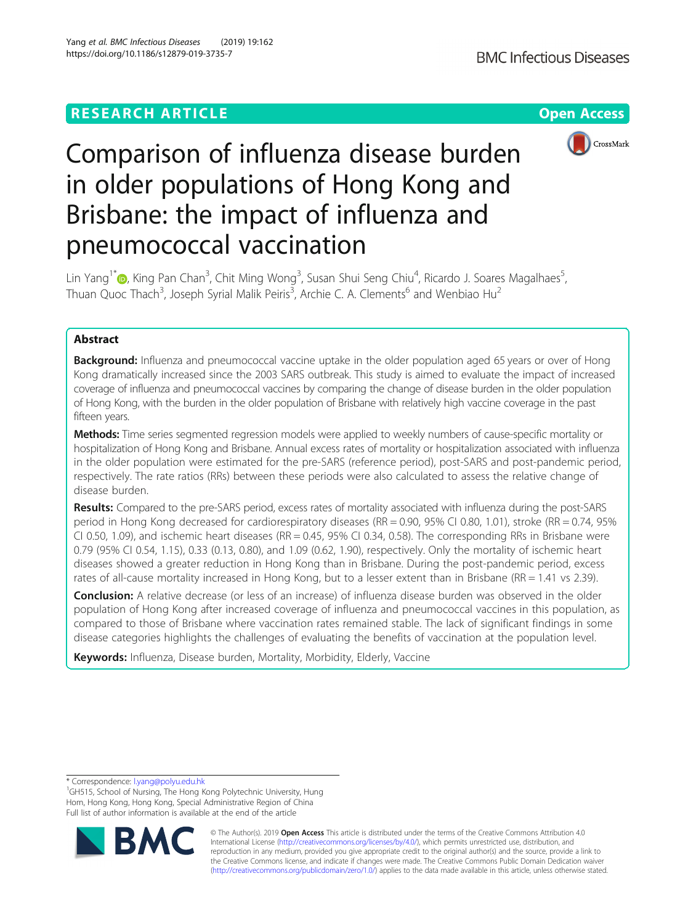# **RESEARCH ARTICLE Example 2014 12:30 The Contract of Contract ACCESS**



# Comparison of influenza disease burden in older populations of Hong Kong and Brisbane: the impact of influenza and pneumococcal vaccination

Lin Yang<sup>1[\\*](http://orcid.org/0000-0002-5964-3233)</sup>�, King Pan Chan<sup>3</sup>, Chit Ming Wong<sup>3</sup>, Susan Shui Seng Chiu<sup>4</sup>, Ricardo J. Soares Magalhaes<sup>5</sup> , Thuan Quoc Thach<sup>3</sup>, Joseph Syrial Malik Peiris<sup>3</sup>, Archie C. A. Clements<sup>6</sup> and Wenbiao Hu<sup>2</sup>

# Abstract

**Background:** Influenza and pneumococcal vaccine uptake in the older population aged 65 years or over of Hong Kong dramatically increased since the 2003 SARS outbreak. This study is aimed to evaluate the impact of increased coverage of influenza and pneumococcal vaccines by comparing the change of disease burden in the older population of Hong Kong, with the burden in the older population of Brisbane with relatively high vaccine coverage in the past fifteen years.

Methods: Time series segmented regression models were applied to weekly numbers of cause-specific mortality or hospitalization of Hong Kong and Brisbane. Annual excess rates of mortality or hospitalization associated with influenza in the older population were estimated for the pre-SARS (reference period), post-SARS and post-pandemic period, respectively. The rate ratios (RRs) between these periods were also calculated to assess the relative change of disease burden.

Results: Compared to the pre-SARS period, excess rates of mortality associated with influenza during the post-SARS period in Hong Kong decreased for cardiorespiratory diseases (RR = 0.90, 95% CI 0.80, 1.01), stroke (RR = 0.74, 95% CI 0.50, 1.09), and ischemic heart diseases (RR = 0.45, 95% CI 0.34, 0.58). The corresponding RRs in Brisbane were 0.79 (95% CI 0.54, 1.15), 0.33 (0.13, 0.80), and 1.09 (0.62, 1.90), respectively. Only the mortality of ischemic heart diseases showed a greater reduction in Hong Kong than in Brisbane. During the post-pandemic period, excess rates of all-cause mortality increased in Hong Kong, but to a lesser extent than in Brisbane (RR = 1.41 vs 2.39).

**Conclusion:** A relative decrease (or less of an increase) of influenza disease burden was observed in the older population of Hong Kong after increased coverage of influenza and pneumococcal vaccines in this population, as compared to those of Brisbane where vaccination rates remained stable. The lack of significant findings in some disease categories highlights the challenges of evaluating the benefits of vaccination at the population level.

Keywords: Influenza, Disease burden, Mortality, Morbidity, Elderly, Vaccine

<sup>&</sup>lt;sup>1</sup>GH515, School of Nursing, The Hong Kong Polytechnic University, Hung Hom, Hong Kong, Hong Kong, Special Administrative Region of China Full list of author information is available at the end of the article



© The Author(s). 2019 **Open Access** This article is distributed under the terms of the Creative Commons Attribution 4.0 International License [\(http://creativecommons.org/licenses/by/4.0/](http://creativecommons.org/licenses/by/4.0/)), which permits unrestricted use, distribution, and reproduction in any medium, provided you give appropriate credit to the original author(s) and the source, provide a link to the Creative Commons license, and indicate if changes were made. The Creative Commons Public Domain Dedication waiver [\(http://creativecommons.org/publicdomain/zero/1.0/](http://creativecommons.org/publicdomain/zero/1.0/)) applies to the data made available in this article, unless otherwise stated.

<sup>\*</sup> Correspondence: [l.yang@polyu.edu.hk](mailto:l.yang@polyu.edu.hk) <sup>1</sup>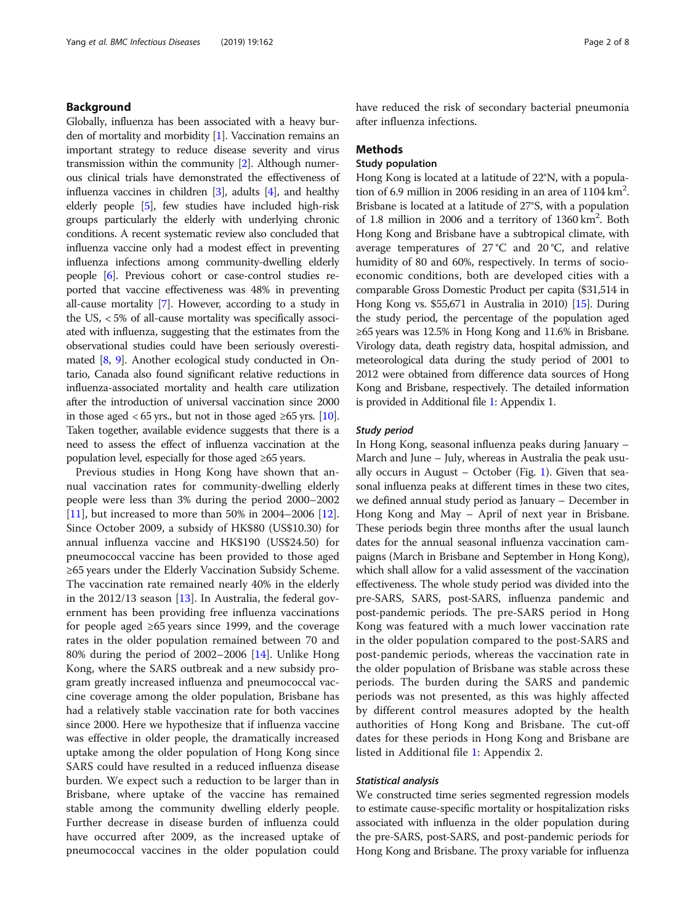# Background

Globally, influenza has been associated with a heavy burden of mortality and morbidity [\[1\]](#page-7-0). Vaccination remains an important strategy to reduce disease severity and virus transmission within the community [[2\]](#page-7-0). Although numerous clinical trials have demonstrated the effectiveness of influenza vaccines in children [[3](#page-7-0)], adults [\[4](#page-7-0)], and healthy elderly people [[5](#page-7-0)], few studies have included high-risk groups particularly the elderly with underlying chronic conditions. A recent systematic review also concluded that influenza vaccine only had a modest effect in preventing influenza infections among community-dwelling elderly people [\[6](#page-7-0)]. Previous cohort or case-control studies reported that vaccine effectiveness was 48% in preventing all-cause mortality [\[7\]](#page-7-0). However, according to a study in the US, < 5% of all-cause mortality was specifically associated with influenza, suggesting that the estimates from the observational studies could have been seriously overestimated [\[8](#page-7-0), [9\]](#page-7-0). Another ecological study conducted in Ontario, Canada also found significant relative reductions in influenza-associated mortality and health care utilization after the introduction of universal vaccination since 2000 in those aged <  $65$  yrs., but not in those aged ≥ $65$  yrs. [\[10](#page-7-0)]. Taken together, available evidence suggests that there is a need to assess the effect of influenza vaccination at the population level, especially for those aged ≥65 years.

Previous studies in Hong Kong have shown that annual vaccination rates for community-dwelling elderly people were less than 3% during the period 2000–2002 [[11\]](#page-7-0), but increased to more than 50% in 2004–2006 [\[12](#page-7-0)]. Since October 2009, a subsidy of HK\$80 (US\$10.30) for annual influenza vaccine and HK\$190 (US\$24.50) for pneumococcal vaccine has been provided to those aged ≥65 years under the Elderly Vaccination Subsidy Scheme. The vaccination rate remained nearly 40% in the elderly in the 2012/13 season [\[13](#page-7-0)]. In Australia, the federal government has been providing free influenza vaccinations for people aged ≥65 years since 1999, and the coverage rates in the older population remained between 70 and 80% during the period of 2002–2006 [\[14\]](#page-7-0). Unlike Hong Kong, where the SARS outbreak and a new subsidy program greatly increased influenza and pneumococcal vaccine coverage among the older population, Brisbane has had a relatively stable vaccination rate for both vaccines since 2000. Here we hypothesize that if influenza vaccine was effective in older people, the dramatically increased uptake among the older population of Hong Kong since SARS could have resulted in a reduced influenza disease burden. We expect such a reduction to be larger than in Brisbane, where uptake of the vaccine has remained stable among the community dwelling elderly people. Further decrease in disease burden of influenza could have occurred after 2009, as the increased uptake of pneumococcal vaccines in the older population could have reduced the risk of secondary bacterial pneumonia after influenza infections.

# **Methods**

# Study population

Hong Kong is located at a latitude of 22°N, with a population of 6.9 million in 2006 residing in an area of  $1104 \mathrm{km}^2$ . Brisbane is located at a latitude of 27°S, with a population of 1.8 million in 2006 and a territory of 1360 km<sup>2</sup>. Both Hong Kong and Brisbane have a subtropical climate, with average temperatures of 27 °C and 20 °C, and relative humidity of 80 and 60%, respectively. In terms of socioeconomic conditions, both are developed cities with a comparable Gross Domestic Product per capita (\$31,514 in Hong Kong vs. \$55,671 in Australia in 2010) [[15](#page-7-0)]. During the study period, the percentage of the population aged ≥65 years was 12.5% in Hong Kong and 11.6% in Brisbane. Virology data, death registry data, hospital admission, and meteorological data during the study period of 2001 to 2012 were obtained from difference data sources of Hong Kong and Brisbane, respectively. The detailed information is provided in Additional file [1](#page-6-0): Appendix 1.

#### Study period

In Hong Kong, seasonal influenza peaks during January – March and June – July, whereas in Australia the peak usually occurs in August – October (Fig. [1](#page-2-0)). Given that seasonal influenza peaks at different times in these two cites, we defined annual study period as January – December in Hong Kong and May – April of next year in Brisbane. These periods begin three months after the usual launch dates for the annual seasonal influenza vaccination campaigns (March in Brisbane and September in Hong Kong), which shall allow for a valid assessment of the vaccination effectiveness. The whole study period was divided into the pre-SARS, SARS, post-SARS, influenza pandemic and post-pandemic periods. The pre-SARS period in Hong Kong was featured with a much lower vaccination rate in the older population compared to the post-SARS and post-pandemic periods, whereas the vaccination rate in the older population of Brisbane was stable across these periods. The burden during the SARS and pandemic periods was not presented, as this was highly affected by different control measures adopted by the health authorities of Hong Kong and Brisbane. The cut-off dates for these periods in Hong Kong and Brisbane are listed in Additional file [1:](#page-6-0) Appendix 2.

# Statistical analysis

We constructed time series segmented regression models to estimate cause-specific mortality or hospitalization risks associated with influenza in the older population during the pre-SARS, post-SARS, and post-pandemic periods for Hong Kong and Brisbane. The proxy variable for influenza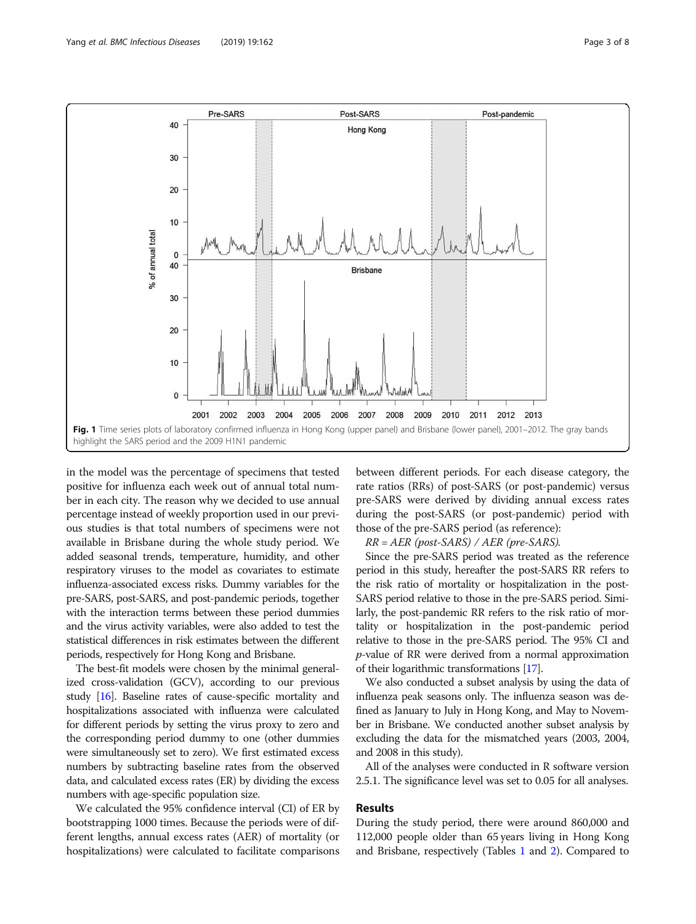<span id="page-2-0"></span>

in the model was the percentage of specimens that tested positive for influenza each week out of annual total number in each city. The reason why we decided to use annual percentage instead of weekly proportion used in our previous studies is that total numbers of specimens were not available in Brisbane during the whole study period. We added seasonal trends, temperature, humidity, and other respiratory viruses to the model as covariates to estimate influenza-associated excess risks. Dummy variables for the pre-SARS, post-SARS, and post-pandemic periods, together with the interaction terms between these period dummies and the virus activity variables, were also added to test the statistical differences in risk estimates between the different periods, respectively for Hong Kong and Brisbane.

The best-fit models were chosen by the minimal generalized cross-validation (GCV), according to our previous study [\[16\]](#page-7-0). Baseline rates of cause-specific mortality and hospitalizations associated with influenza were calculated for different periods by setting the virus proxy to zero and the corresponding period dummy to one (other dummies were simultaneously set to zero). We first estimated excess numbers by subtracting baseline rates from the observed data, and calculated excess rates (ER) by dividing the excess numbers with age-specific population size.

We calculated the 95% confidence interval (CI) of ER by bootstrapping 1000 times. Because the periods were of different lengths, annual excess rates (AER) of mortality (or hospitalizations) were calculated to facilitate comparisons

between different periods. For each disease category, the rate ratios (RRs) of post-SARS (or post-pandemic) versus pre-SARS were derived by dividing annual excess rates during the post-SARS (or post-pandemic) period with those of the pre-SARS period (as reference):

RR = AER (post-SARS) / AER (pre-SARS).

Since the pre-SARS period was treated as the reference period in this study, hereafter the post-SARS RR refers to the risk ratio of mortality or hospitalization in the post-SARS period relative to those in the pre-SARS period. Similarly, the post-pandemic RR refers to the risk ratio of mortality or hospitalization in the post-pandemic period relative to those in the pre-SARS period. The 95% CI and p-value of RR were derived from a normal approximation of their logarithmic transformations [\[17\]](#page-7-0).

We also conducted a subset analysis by using the data of influenza peak seasons only. The influenza season was defined as January to July in Hong Kong, and May to November in Brisbane. We conducted another subset analysis by excluding the data for the mismatched years (2003, 2004, and 2008 in this study).

All of the analyses were conducted in R software version 2.5.1. The significance level was set to 0.05 for all analyses.

# Results

During the study period, there were around 860,000 and 112,000 people older than 65 years living in Hong Kong and Brisbane, respectively (Tables [1](#page-3-0) and [2](#page-4-0)). Compared to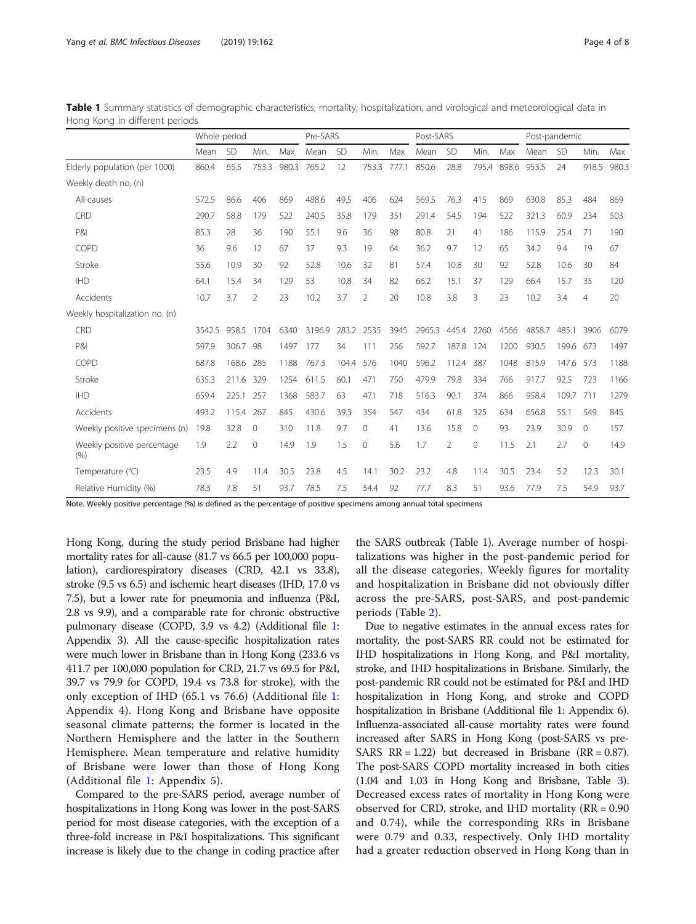|                                     | Whole period |           |                |       | Pre-SARS |           |                |       | Post-SARS |           |                |       | Post-pandemic |           |          |       |
|-------------------------------------|--------------|-----------|----------------|-------|----------|-----------|----------------|-------|-----------|-----------|----------------|-------|---------------|-----------|----------|-------|
|                                     | Mean         | <b>SD</b> | Min.           | Max   | Mean     | <b>SD</b> | Min.           | Max   | Mean      | <b>SD</b> | Min.           | Max   | Mean          | <b>SD</b> | Min.     | Max   |
| Elderly population (per 1000)       | 860.4        | 65.5      | 753.3          | 980.3 | 765.2    | 12        | 753.3          | 777.1 | 850.6     | 28.8      | 795.4          | 898.6 | 953.5         | 24        | 918.5    | 980.3 |
| Weekly death no. (n)                |              |           |                |       |          |           |                |       |           |           |                |       |               |           |          |       |
| All-causes                          | 572.5        | 86.6      | 406            | 869   | 488.6    | 49.5      | 406            | 624   | 569.5     | 76.3      | 415            | 869   | 630.8         | 85.3      | 484      | 869   |
| CRD                                 | 290.7        | 58.8      | 179            | 522   | 240.5    | 35.8      | 179            | 351   | 291.4     | 54.5      | 194            | 522   | 321.3         | 60.9      | 234      | 503   |
| <b>P&amp;I</b>                      | 85.3         | 28        | 36             | 190   | 55.1     | 9.6       | 36             | 98    | 80.8      | 21        | 41             | 186   | 115.9         | 25.4      | 71       | 190   |
| COPD                                | 36           | 9.6       | 12             | 67    | 37       | 9.3       | 19             | 64    | 36.2      | 9.7       | 12             | 65    | 34.2          | 9.4       | 19       | 67    |
| Stroke                              | 55.6         | 10.9      | 30             | 92    | 52.8     | 10.6      | 32             | 81    | 57.4      | 10.8      | 30             | 92    | 52.8          | 10.6      | 30       | 84    |
| <b>IHD</b>                          | 64.1         | 15.4      | 34             | 129   | 53       | 10.8      | 34             | 82    | 66.2      | 15.1      | 37             | 129   | 66.4          | 15.7      | 35       | 120   |
| Accidents                           | 10.7         | 3.7       | $\overline{2}$ | 23    | 10.2     | 3.7       | $\overline{2}$ | 20    | 10.8      | 3.8       | 3              | 23    | 10.2          | 3.4       | 4        | 20    |
| Weekly hospitalization no. (n)      |              |           |                |       |          |           |                |       |           |           |                |       |               |           |          |       |
| CRD                                 | 3542.5       | 958.5     | 1704           | 6340  | 3196.9   | 283.2     | 2535           | 3945  | 2965.3    | 445.4     | 2260           | 4566  | 4858.7        | 485.1     | 3906     | 6079  |
| <b>P&amp;I</b>                      | 597.9        | 306.7     | 98             | 1497  | 177      | 34        | 111            | 256   | 592.7     | 187.8     | 124            | 1200  | 930.5         | 199.6     | 673      | 1497  |
| COPD                                | 687.8        | 168.6     | 285            | 1188  | 767.3    | 104.4     | 576            | 1040  | 596.2     | 112.4     | 387            | 1048  | 815.9         | 147.6     | 573      | 1188  |
| Stroke                              | 635.3        | 211.6     | 329            | 1254  | 611.5    | 60.1      | 471            | 750   | 479.9     | 79.8      | 334            | 766   | 917.7         | 92.5      | 723      | 1166  |
| <b>IHD</b>                          | 659.4        | 225.1     | 257            | 1368  | 583.7    | 63        | 471            | 718   | 516.3     | 90.1      | 374            | 866   | 958.4         | 109.7     | 711      | 1279  |
| Accidents                           | 493.2        | 115.4     | 267            | 845   | 430.6    | 39.3      | 354            | 547   | 434       | 61.8      | 325            | 634   | 656.8         | 55.1      | 549      | 845   |
| Weekly positive specimens (n)       | 19.8         | 32.8      | 0              | 310   | 11.8     | 9.7       | $\mathbf{0}$   | 41    | 13.6      | 15.8      | $\circ$        | 93    | 23.9          | 30.9      | $\Omega$ | 157   |
| Weekly positive percentage<br>(9/6) | 1.9          | 2.2       | 0              | 14.9  | 1.9      | 1.5       | 0              | 5.6   | 1.7       | 2         | $\overline{0}$ | 11.5  | 2.1           | 2.7       | 0        | 14.9  |
| Temperature (°C)                    | 23.5         | 4.9       | 11.4           | 30.5  | 23.8     | 4.5       | 14.1           | 30.2  | 23.2      | 4.8       | 11.4           | 30.5  | 23.4          | 5.2       | 12.3     | 30.1  |
| Relative Humidity (%)               | 78.3         | 7.8       | 51             | 93.7  | 78.5     | 7.5       | 54.4           | 92    | 77.7      | 8.3       | 51             | 93.6  | 77.9          | 7.5       | 54.9     | 93.7  |

<span id="page-3-0"></span>Table 1 Summary statistics of demographic characteristics, mortality, hospitalization, and virological and meteorological data in Hong Kong in different periods

Note. Weekly positive percentage (%) is defined as the percentage of positive specimens among annual total specimens

Hong Kong, during the study period Brisbane had higher mortality rates for all-cause (81.7 vs 66.5 per 100,000 population), cardiorespiratory diseases (CRD, 42.1 vs 33.8), stroke (9.5 vs 6.5) and ischemic heart diseases (IHD, 17.0 vs 7.5), but a lower rate for pneumonia and influenza (P&I, 2.8 vs 9.9), and a comparable rate for chronic obstructive pulmonary disease (COPD, 3.9 vs 4.2) (Additional file [1](#page-6-0): Appendix 3). All the cause-specific hospitalization rates were much lower in Brisbane than in Hong Kong (233.6 vs 411.7 per 100,000 population for CRD, 21.7 vs 69.5 for P&I, 39.7 vs 79.9 for COPD, 19.4 vs 73.8 for stroke), with the only exception of IHD (65.1 vs 76.6) (Additional file [1](#page-6-0): Appendix 4). Hong Kong and Brisbane have opposite seasonal climate patterns; the former is located in the Northern Hemisphere and the latter in the Southern Hemisphere. Mean temperature and relative humidity of Brisbane were lower than those of Hong Kong (Additional file [1:](#page-6-0) Appendix 5).

Compared to the pre-SARS period, average number of hospitalizations in Hong Kong was lower in the post-SARS period for most disease categories, with the exception of a three-fold increase in P&I hospitalizations. This significant increase is likely due to the change in coding practice after

the SARS outbreak (Table 1). Average number of hospitalizations was higher in the post-pandemic period for all the disease categories. Weekly figures for mortality and hospitalization in Brisbane did not obviously differ across the pre-SARS, post-SARS, and post-pandemic periods (Table [2](#page-4-0)).

Due to negative estimates in the annual excess rates for mortality, the post-SARS RR could not be estimated for IHD hospitalizations in Hong Kong, and P&I mortality, stroke, and IHD hospitalizations in Brisbane. Similarly, the post-pandemic RR could not be estimated for P&I and IHD hospitalization in Hong Kong, and stroke and COPD hospitalization in Brisbane (Additional file [1](#page-6-0): Appendix 6). Influenza-associated all-cause mortality rates were found increased after SARS in Hong Kong (post-SARS vs pre-SARS  $RR = 1.22$ ) but decreased in Brisbane  $(RR = 0.87)$ . The post-SARS COPD mortality increased in both cities (1.04 and 1.03 in Hong Kong and Brisbane, Table [3](#page-5-0)). Decreased excess rates of mortality in Hong Kong were observed for CRD, stroke, and IHD mortality (RR = 0.90 and 0.74), while the corresponding RRs in Brisbane were 0.79 and 0.33, respectively. Only IHD mortality had a greater reduction observed in Hong Kong than in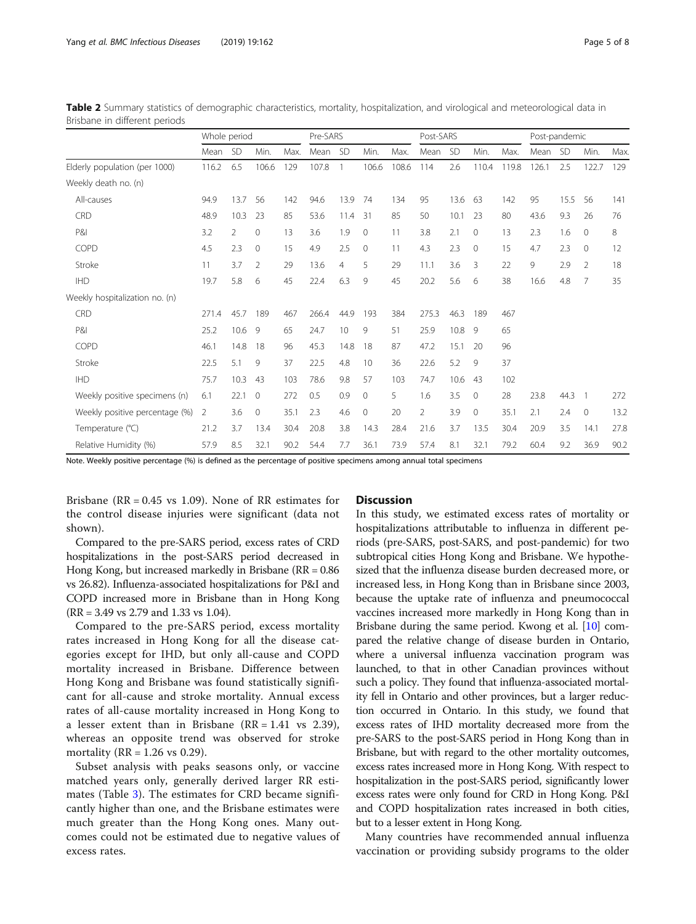|                                | Whole period |                |                |      | Pre-SARS |           |              |       | Post-SARS      |           |              |       | Post-pandemic |           |              |      |
|--------------------------------|--------------|----------------|----------------|------|----------|-----------|--------------|-------|----------------|-----------|--------------|-------|---------------|-----------|--------------|------|
|                                | Mean         | <b>SD</b>      | Min.           | Max. | Mean     | <b>SD</b> | Min.         | Max.  | Mean           | <b>SD</b> | Min.         | Max.  | Mean          | <b>SD</b> | Min.         | Max. |
| Elderly population (per 1000)  | 116.2        | 6.5            | 106.6          | 129  | 107.8    |           | 106.6        | 108.6 | 114            | 2.6       | 110.4        | 119.8 | 126.1         | 2.5       | 122.7        | 129  |
| Weekly death no. (n)           |              |                |                |      |          |           |              |       |                |           |              |       |               |           |              |      |
| All-causes                     | 94.9         | 13.7           | 56             | 142  | 94.6     | 13.9      | 74           | 134   | 95             | 13.6      | 63           | 142   | 95            | 15.5      | 56           | 141  |
| CRD                            | 48.9         | 10.3           | 23             | 85   | 53.6     | 11.4      | 31           | 85    | 50             | 10.1      | 23           | 80    | 43.6          | 9.3       | 26           | 76   |
| <b>P&amp;I</b>                 | 3.2          | $\overline{2}$ | $\mathbf 0$    | 13   | 3.6      | 1.9       | $\mathbf 0$  | 11    | 3.8            | 2.1       | $\mathbf 0$  | 13    | 2.3           | 1.6       | $\mathbf{0}$ | 8    |
| COPD                           | 4.5          | 2.3            | $\mathbf{0}$   | 15   | 4.9      | 2.5       | $\mathbf{0}$ | 11    | 4.3            | 2.3       | $\mathbf 0$  | 15    | 4.7           | 2.3       | $\Omega$     | 12   |
| Stroke                         | 11           | 3.7            | $\overline{2}$ | 29   | 13.6     | 4         | 5            | 29    | 11.1           | 3.6       | 3            | 22    | 9             | 2.9       | 2            | 18   |
| <b>IHD</b>                     | 19.7         | 5.8            | 6              | 45   | 22.4     | 6.3       | 9            | 45    | 20.2           | 5.6       | 6            | 38    | 16.6          | 4.8       | 7            | 35   |
| Weekly hospitalization no. (n) |              |                |                |      |          |           |              |       |                |           |              |       |               |           |              |      |
| <b>CRD</b>                     | 271.4        | 45.7           | 189            | 467  | 266.4    | 44.9      | 193          | 384   | 275.3          | 46.3      | 189          | 467   |               |           |              |      |
| <b>P&amp;I</b>                 | 25.2         | 10.6           | 9              | 65   | 24.7     | 10        | 9            | 51    | 25.9           | 10.8      | 9            | 65    |               |           |              |      |
| COPD                           | 46.1         | 14.8           | 18             | 96   | 45.3     | 14.8      | 18           | 87    | 47.2           | 15.1      | 20           | 96    |               |           |              |      |
| Stroke                         | 22.5         | 5.1            | 9              | 37   | 22.5     | 4.8       | 10           | 36    | 22.6           | 5.2       | 9            | 37    |               |           |              |      |
| <b>IHD</b>                     | 75.7         | 10.3           | 43             | 103  | 78.6     | 9.8       | 57           | 103   | 74.7           | 10.6      | 43           | 102   |               |           |              |      |
| Weekly positive specimens (n)  | 6.1          | 22.1           | $\circ$        | 272  | 0.5      | 0.9       | $\mathbf{0}$ | 5     | 1.6            | 3.5       | $\mathbf{0}$ | 28    | 23.8          | 44.3      |              | 272  |
| Weekly positive percentage (%) | 2            | 3.6            | $\mathbf{0}$   | 35.1 | 2.3      | 4.6       | $\mathbf{0}$ | 20    | $\overline{2}$ | 3.9       | $\mathbf{0}$ | 35.1  | 2.1           | 2.4       | $\Omega$     | 13.2 |
| Temperature (°C)               | 21.2         | 3.7            | 13.4           | 30.4 | 20.8     | 3.8       | 14.3         | 28.4  | 21.6           | 3.7       | 13.5         | 30.4  | 20.9          | 3.5       | 14.1         | 27.8 |
| Relative Humidity (%)          | 57.9         | 8.5            | 32.1           | 90.2 | 54.4     | 7.7       | 36.1         | 73.9  | 57.4           | 8.1       | 32.1         | 79.2  | 60.4          | 9.2       | 36.9         | 90.2 |

<span id="page-4-0"></span>Table 2 Summary statistics of demographic characteristics, mortality, hospitalization, and virological and meteorological data in Brisbane in different periods

Note. Weekly positive percentage (%) is defined as the percentage of positive specimens among annual total specimens

Brisbane ( $RR = 0.45$  vs 1.09). None of  $RR$  estimates for the control disease injuries were significant (data not shown).

Compared to the pre-SARS period, excess rates of CRD hospitalizations in the post-SARS period decreased in Hong Kong, but increased markedly in Brisbane (RR = 0.86 vs 26.82). Influenza-associated hospitalizations for P&I and COPD increased more in Brisbane than in Hong Kong (RR = 3.49 vs 2.79 and 1.33 vs 1.04).

Compared to the pre-SARS period, excess mortality rates increased in Hong Kong for all the disease categories except for IHD, but only all-cause and COPD mortality increased in Brisbane. Difference between Hong Kong and Brisbane was found statistically significant for all-cause and stroke mortality. Annual excess rates of all-cause mortality increased in Hong Kong to a lesser extent than in Brisbane  $(RR = 1.41 \text{ vs } 2.39)$ , whereas an opposite trend was observed for stroke mortality ( $RR = 1.26$  vs 0.29).

Subset analysis with peaks seasons only, or vaccine matched years only, generally derived larger RR estimates (Table [3](#page-5-0)). The estimates for CRD became significantly higher than one, and the Brisbane estimates were much greater than the Hong Kong ones. Many outcomes could not be estimated due to negative values of excess rates.

# Discussion

In this study, we estimated excess rates of mortality or hospitalizations attributable to influenza in different periods (pre-SARS, post-SARS, and post-pandemic) for two subtropical cities Hong Kong and Brisbane. We hypothesized that the influenza disease burden decreased more, or increased less, in Hong Kong than in Brisbane since 2003, because the uptake rate of influenza and pneumococcal vaccines increased more markedly in Hong Kong than in Brisbane during the same period. Kwong et al. [\[10](#page-7-0)] compared the relative change of disease burden in Ontario, where a universal influenza vaccination program was launched, to that in other Canadian provinces without such a policy. They found that influenza-associated mortality fell in Ontario and other provinces, but a larger reduction occurred in Ontario. In this study, we found that excess rates of IHD mortality decreased more from the pre-SARS to the post-SARS period in Hong Kong than in Brisbane, but with regard to the other mortality outcomes, excess rates increased more in Hong Kong. With respect to hospitalization in the post-SARS period, significantly lower excess rates were only found for CRD in Hong Kong. P&I and COPD hospitalization rates increased in both cities, but to a lesser extent in Hong Kong.

Many countries have recommended annual influenza vaccination or providing subsidy programs to the older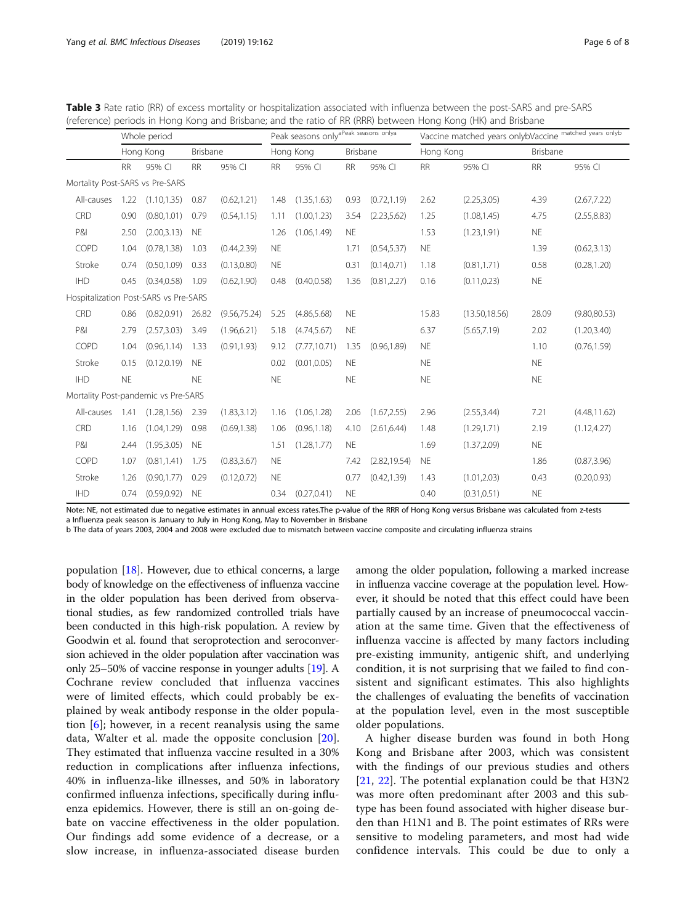<span id="page-5-0"></span>

| <b>Table 3</b> Rate ratio (RR) of excess mortality or hospitalization associated with influenza between the post-SARS and pre-SARS |
|------------------------------------------------------------------------------------------------------------------------------------|
| (reference) periods in Hong Kong and Brisbane; and the ratio of RR (RRR) between Hong Kong (HK) and Brisbane                       |

|                                       | Whole period |              |           |               |           | Peak seasons only aPeak seasons only a |           |               | Vaccine matched years onlybVaccine matched years onlyb |                |           |               |  |
|---------------------------------------|--------------|--------------|-----------|---------------|-----------|----------------------------------------|-----------|---------------|--------------------------------------------------------|----------------|-----------|---------------|--|
|                                       |              | Hong Kong    | Brisbane  |               |           | Hong Kong                              | Brisbane  |               | Hong Kong                                              |                | Brisbane  |               |  |
|                                       | <b>RR</b>    | 95% CI       | <b>RR</b> | 95% CI        | <b>RR</b> | 95% CI                                 | <b>RR</b> | 95% CI        | <b>RR</b>                                              | 95% CI         | <b>RR</b> | 95% CI        |  |
| Mortality Post-SARS vs Pre-SARS       |              |              |           |               |           |                                        |           |               |                                                        |                |           |               |  |
| All-causes                            | 1.22         | (1.10, 1.35) | 0.87      | (0.62, 1.21)  | 1.48      | (1.35, 1.63)                           | 0.93      | (0.72, 1.19)  | 2.62                                                   | (2.25, 3.05)   | 4.39      | (2.67, 7.22)  |  |
| CRD                                   | 0.90         | (0.80, 1.01) | 0.79      | (0.54, 1.15)  | 1.11      | (1.00, 1.23)                           | 3.54      | (2.23, 5.62)  | 1.25                                                   | (1.08, 1.45)   | 4.75      | (2.55, 8.83)  |  |
| P&I                                   | 2.50         | (2.00, 3.13) | <b>NE</b> |               | 1.26      | (1.06, 1.49)                           | <b>NE</b> |               | 1.53                                                   | (1.23, 1.91)   | <b>NE</b> |               |  |
| COPD                                  | 1.04         | (0.78, 1.38) | 1.03      | (0.44, 2.39)  | <b>NE</b> |                                        | 1.71      | (0.54, 5.37)  | <b>NE</b>                                              |                | 1.39      | (0.62, 3.13)  |  |
| Stroke                                | 0.74         | (0.50, 1.09) | 0.33      | (0.13, 0.80)  | <b>NE</b> |                                        | 0.31      | (0.14, 0.71)  | 1.18                                                   | (0.81, 1.71)   | 0.58      | (0.28, 1.20)  |  |
| <b>IHD</b>                            | 0.45         | (0.34, 0.58) | 1.09      | (0.62, 1.90)  | 0.48      | (0.40, 0.58)                           | 1.36      | (0.81, 2.27)  | 0.16                                                   | (0.11, 0.23)   | <b>NE</b> |               |  |
| Hospitalization Post-SARS vs Pre-SARS |              |              |           |               |           |                                        |           |               |                                                        |                |           |               |  |
| CRD                                   | 0.86         | (0.82, 0.91) | 26.82     | (9.56, 75.24) | 5.25      | (4.86, 5.68)                           | <b>NE</b> |               | 15.83                                                  | (13.50, 18.56) | 28.09     | (9.80, 80.53) |  |
| <b>P&amp;I</b>                        | 2.79         | (2.57, 3.03) | 3.49      | (1.96, 6.21)  | 5.18      | (4.74, 5.67)                           | <b>NE</b> |               | 6.37                                                   | (5.65, 7.19)   | 2.02      | (1.20, 3.40)  |  |
| COPD                                  | 1.04         | (0.96.1.14)  | 1.33      | (0.91, 1.93)  | 9.12      | (7.77, 10.71)                          | 1.35      | (0.96, 1.89)  | <b>NE</b>                                              |                | 1.10      | (0.76, 1.59)  |  |
| Stroke                                | 0.15         | (0.12, 0.19) | <b>NE</b> |               | 0.02      | (0.01, 0.05)                           | <b>NE</b> |               | <b>NE</b>                                              |                | <b>NE</b> |               |  |
| <b>IHD</b>                            | <b>NE</b>    |              | <b>NE</b> |               | <b>NE</b> |                                        | <b>NE</b> |               | <b>NE</b>                                              |                | <b>NE</b> |               |  |
| Mortality Post-pandemic vs Pre-SARS   |              |              |           |               |           |                                        |           |               |                                                        |                |           |               |  |
| All-causes                            | 1.41         | (1.28, 1.56) | 2.39      | (1.83, 3.12)  | 1.16      | (1.06, 1.28)                           | 2.06      | (1.67, 2.55)  | 2.96                                                   | (2.55, 3.44)   | 7.21      | (4.48, 11.62) |  |
| <b>CRD</b>                            | 1.16         | (1.04, 1.29) | 0.98      | (0.69, 1.38)  | 1.06      | (0.96, 1.18)                           | 4.10      | (2.61, 6.44)  | 1.48                                                   | (1.29, 1.71)   | 2.19      | (1.12, 4.27)  |  |
| P&I                                   | 2.44         | (1.95, 3.05) | <b>NE</b> |               | 1.51      | (1.28, 1.77)                           | <b>NE</b> |               | 1.69                                                   | (1.37, 2.09)   | <b>NE</b> |               |  |
| COPD                                  | 1.07         | (0.81, 1.41) | 1.75      | (0.83, 3.67)  | <b>NE</b> |                                        | 7.42      | (2.82, 19.54) | <b>NE</b>                                              |                | 1.86      | (0.87, 3.96)  |  |
| Stroke                                | 1.26         | (0.90, 1.77) | 0.29      | (0.12, 0.72)  | <b>NE</b> |                                        | 0.77      | (0.42, 1.39)  | 1.43                                                   | (1.01, 2.03)   | 0.43      | (0.20, 0.93)  |  |
| <b>IHD</b>                            | 0.74         | (0.59, 0.92) | <b>NE</b> |               | 0.34      | (0.27, 0.41)                           | <b>NE</b> |               | 0.40                                                   | (0.31, 0.51)   | <b>NE</b> |               |  |

Note: NE, not estimated due to negative estimates in annual excess rates.The p-value of the RRR of Hong Kong versus Brisbane was calculated from z-tests a Influenza peak season is January to July in Hong Kong, May to November in Brisbane

b The data of years 2003, 2004 and 2008 were excluded due to mismatch between vaccine composite and circulating influenza strains

population [\[18](#page-7-0)]. However, due to ethical concerns, a large body of knowledge on the effectiveness of influenza vaccine in the older population has been derived from observational studies, as few randomized controlled trials have been conducted in this high-risk population. A review by Goodwin et al. found that seroprotection and seroconversion achieved in the older population after vaccination was only 25–50% of vaccine response in younger adults [\[19\]](#page-7-0). A Cochrane review concluded that influenza vaccines were of limited effects, which could probably be explained by weak antibody response in the older population [[6](#page-7-0)]; however, in a recent reanalysis using the same data, Walter et al. made the opposite conclusion [\[20](#page-7-0)]. They estimated that influenza vaccine resulted in a 30% reduction in complications after influenza infections, 40% in influenza-like illnesses, and 50% in laboratory confirmed influenza infections, specifically during influenza epidemics. However, there is still an on-going debate on vaccine effectiveness in the older population. Our findings add some evidence of a decrease, or a slow increase, in influenza-associated disease burden among the older population, following a marked increase in influenza vaccine coverage at the population level. However, it should be noted that this effect could have been partially caused by an increase of pneumococcal vaccination at the same time. Given that the effectiveness of influenza vaccine is affected by many factors including pre-existing immunity, antigenic shift, and underlying condition, it is not surprising that we failed to find consistent and significant estimates. This also highlights the challenges of evaluating the benefits of vaccination at the population level, even in the most susceptible older populations.

A higher disease burden was found in both Hong Kong and Brisbane after 2003, which was consistent with the findings of our previous studies and others [[21,](#page-7-0) [22\]](#page-7-0). The potential explanation could be that H3N2 was more often predominant after 2003 and this subtype has been found associated with higher disease burden than H1N1 and B. The point estimates of RRs were sensitive to modeling parameters, and most had wide confidence intervals. This could be due to only a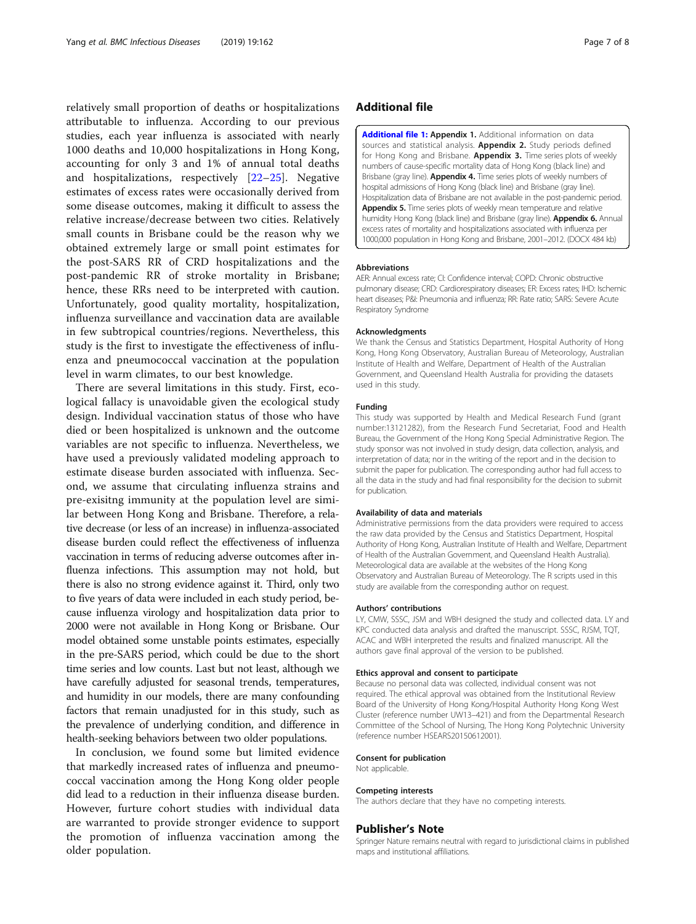<span id="page-6-0"></span>relatively small proportion of deaths or hospitalizations attributable to influenza. According to our previous studies, each year influenza is associated with nearly 1000 deaths and 10,000 hospitalizations in Hong Kong, accounting for only 3 and 1% of annual total deaths and hospitalizations, respectively [[22](#page-7-0)–[25\]](#page-7-0). Negative estimates of excess rates were occasionally derived from some disease outcomes, making it difficult to assess the relative increase/decrease between two cities. Relatively small counts in Brisbane could be the reason why we obtained extremely large or small point estimates for the post-SARS RR of CRD hospitalizations and the post-pandemic RR of stroke mortality in Brisbane; hence, these RRs need to be interpreted with caution. Unfortunately, good quality mortality, hospitalization, influenza surveillance and vaccination data are available in few subtropical countries/regions. Nevertheless, this study is the first to investigate the effectiveness of influenza and pneumococcal vaccination at the population level in warm climates, to our best knowledge.

There are several limitations in this study. First, ecological fallacy is unavoidable given the ecological study design. Individual vaccination status of those who have died or been hospitalized is unknown and the outcome variables are not specific to influenza. Nevertheless, we have used a previously validated modeling approach to estimate disease burden associated with influenza. Second, we assume that circulating influenza strains and pre-exisitng immunity at the population level are similar between Hong Kong and Brisbane. Therefore, a relative decrease (or less of an increase) in influenza-associated disease burden could reflect the effectiveness of influenza vaccination in terms of reducing adverse outcomes after influenza infections. This assumption may not hold, but there is also no strong evidence against it. Third, only two to five years of data were included in each study period, because influenza virology and hospitalization data prior to 2000 were not available in Hong Kong or Brisbane. Our model obtained some unstable points estimates, especially in the pre-SARS period, which could be due to the short time series and low counts. Last but not least, although we have carefully adjusted for seasonal trends, temperatures, and humidity in our models, there are many confounding factors that remain unadjusted for in this study, such as the prevalence of underlying condition, and difference in health-seeking behaviors between two older populations.

In conclusion, we found some but limited evidence that markedly increased rates of influenza and pneumococcal vaccination among the Hong Kong older people did lead to a reduction in their influenza disease burden. However, furture cohort studies with individual data are warranted to provide stronger evidence to support the promotion of influenza vaccination among the older population.

# Additional file

[Additional file 1:](https://doi.org/10.1186/s12879-019-3735-7) Appendix 1. Additional information on data sources and statistical analysis. Appendix 2. Study periods defined for Hong Kong and Brisbane. Appendix 3. Time series plots of weekly numbers of cause-specific mortality data of Hong Kong (black line) and Brisbane (gray line). **Appendix 4.** Time series plots of weekly numbers of hospital admissions of Hong Kong (black line) and Brisbane (gray line). Hospitalization data of Brisbane are not available in the post-pandemic period. Appendix 5. Time series plots of weekly mean temperature and relative humidity Hong Kong (black line) and Brisbane (gray line). Appendix 6. Annual excess rates of mortality and hospitalizations associated with influenza per 1000,000 population in Hong Kong and Brisbane, 2001–2012. (DOCX 484 kb)

#### Abbreviations

AER: Annual excess rate; CI: Confidence interval; COPD: Chronic obstructive pulmonary disease; CRD: Cardiorespiratory diseases; ER: Excess rates; IHD: Ischemic heart diseases; P&I: Pneumonia and influenza; RR: Rate ratio; SARS: Severe Acute Respiratory Syndrome

#### Acknowledgments

We thank the Census and Statistics Department, Hospital Authority of Hong Kong, Hong Kong Observatory, Australian Bureau of Meteorology, Australian Institute of Health and Welfare, Department of Health of the Australian Government, and Queensland Health Australia for providing the datasets used in this study.

### Funding

This study was supported by Health and Medical Research Fund (grant number:13121282), from the Research Fund Secretariat, Food and Health Bureau, the Government of the Hong Kong Special Administrative Region. The study sponsor was not involved in study design, data collection, analysis, and interpretation of data; nor in the writing of the report and in the decision to submit the paper for publication. The corresponding author had full access to all the data in the study and had final responsibility for the decision to submit for publication.

#### Availability of data and materials

Administrative permissions from the data providers were required to access the raw data provided by the Census and Statistics Department, Hospital Authority of Hong Kong, Australian Institute of Health and Welfare, Department of Health of the Australian Government, and Queensland Health Australia). Meteorological data are available at the websites of the Hong Kong Observatory and Australian Bureau of Meteorology. The R scripts used in this study are available from the corresponding author on request.

#### Authors' contributions

LY, CMW, SSSC, JSM and WBH designed the study and collected data. LY and KPC conducted data analysis and drafted the manuscript. SSSC, RJSM, TQT, ACAC and WBH interpreted the results and finalized manuscript. All the authors gave final approval of the version to be published.

#### Ethics approval and consent to participate

Because no personal data was collected, individual consent was not required. The ethical approval was obtained from the Institutional Review Board of the University of Hong Kong/Hospital Authority Hong Kong West Cluster (reference number UW13–421) and from the Departmental Research Committee of the School of Nursing, The Hong Kong Polytechnic University (reference number HSEARS20150612001).

#### Consent for publication

Not applicable.

### Competing interests

The authors declare that they have no competing interests.

### Publisher's Note

Springer Nature remains neutral with regard to jurisdictional claims in published maps and institutional affiliations.